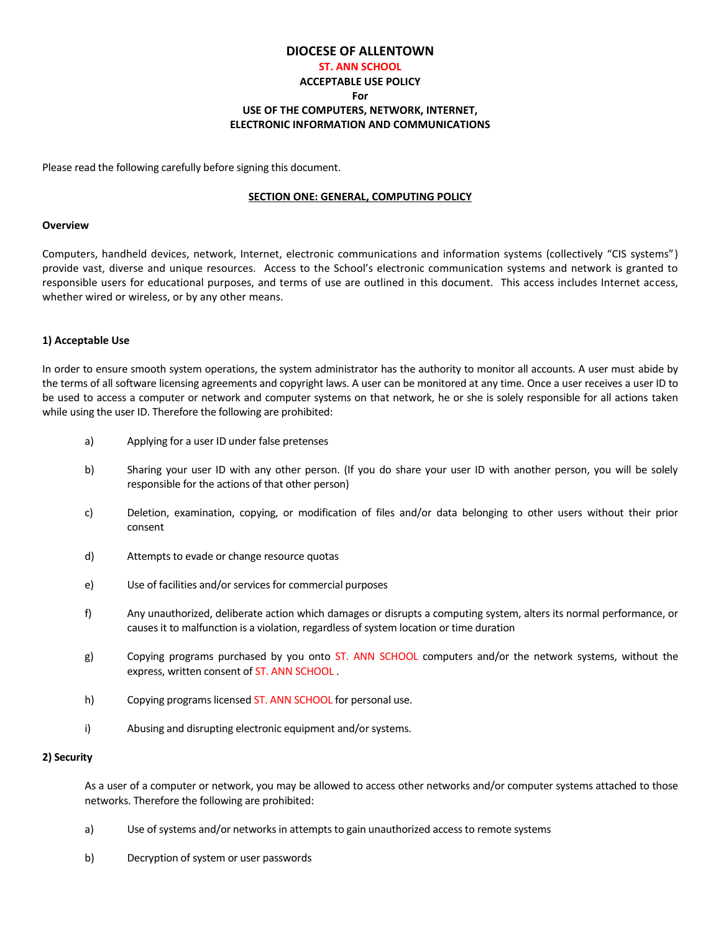# **DIOCESE'OF'ALLENTOWN**

# **ST. ANN SCHOOL ACCEPTABLE'USE'POLICY For** USE OF THE COMPUTERS, NETWORK, INTERNET, **ELECTRONIC'INFORMATION'AND'COMMUNICATIONS'**

Please read the following carefully before signing this document.

## **SECTION ONE: GENERAL, COMPUTING POLICY**

#### **Overview**

Computers, handheld devices, network, Internet, electronic communications and information systems (collectively "CIS systems") provide vast, diverse and unique resources. Access to the School's electronic communication systems and network is granted to responsible users for educational purposes, and terms of use are outlined in this document. This access includes Internet access, whether wired or wireless, or by any other means.

## **1)'Acceptable'Use**

In order to ensure smooth system operations, the system administrator has the authority to monitor all accounts. A user must abide by the terms of all software licensing agreements and copyright laws. A user can be monitored at any time. Once a user receives a user ID to be used to access a computer or network and computer systems on that network, he or she is solely responsible for all actions taken while using the user ID. Therefore the following are prohibited:

- a) Applying for a user ID under false pretenses
- b) Sharing your user ID with any other person. (If you do share your user ID with another person, you will be solely responsible for the actions of that other person)
- c) Deletion, examination, copying, or modification of files and/or data belonging to other users without their prior consent
- d) Attempts to evade or change resource quotas
- e) Use of facilities and/or services for commercial purposes
- f) Any unauthorized, deliberate action which damages or disrupts a computing system, alters its normal performance, or causes it to malfunction is a violation, regardless of system location or time duration
- g) Copying programs purchased by you onto ST. ANN SCHOOL computers and/or the network systems, without the express, written consent of ST. ANN SCHOOL.
- h) Copying programs licensed ST. ANN SCHOOL for personal use.
- i) Abusing and disrupting electronic equipment and/or systems.

## **2) Security**

As a user of a computer or network, you may be allowed to access other networks and/or computer systems attached to those networks. Therefore the following are prohibited:

- a) Use of systems and/or networks in attempts to gain unauthorized access to remote systems
- b) Decryption of system or user passwords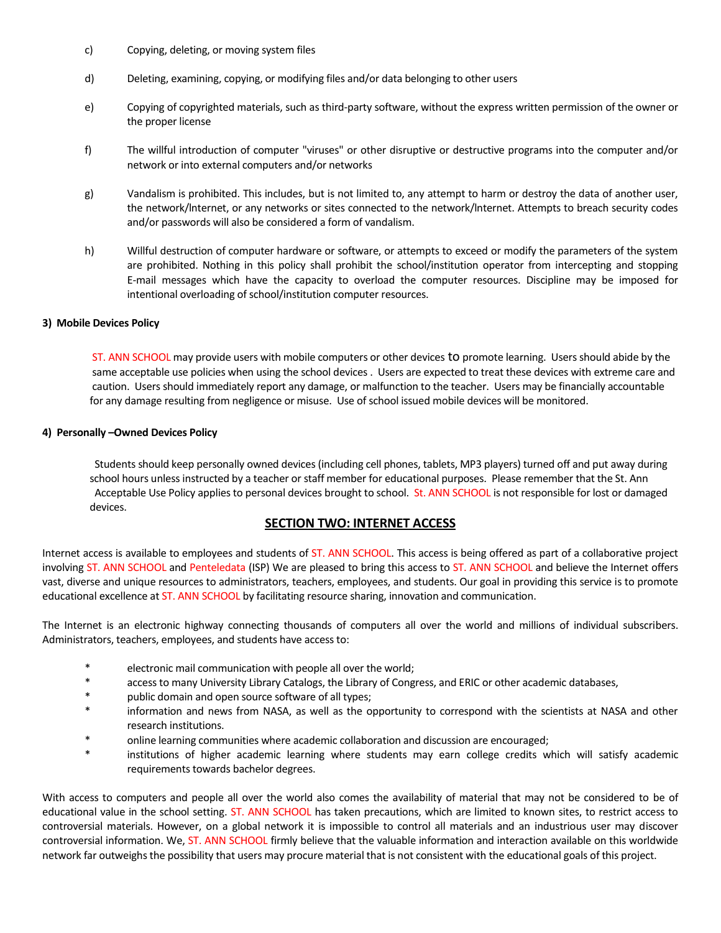- c) Copying, deleting, or moving system files
- d) Deleting, examining, copying, or modifying files and/or data belonging to other users
- e) Copying of copyrighted materials, such as third-party software, without the express written permission of the owner or the proper license
- f) The willful introduction of computer "viruses" or other disruptive or destructive programs into the computer and/or network or into external computers and/or networks
- g) Vandalism is prohibited. This includes, but is not limited to, any attempt to harm or destroy the data of another user, the network/Internet, or any networks or sites connected to the network/Internet. Attempts to breach security codes and/or passwords will also be considered a form of vandalism.
- h) Willful destruction of computer hardware or software, or attempts to exceed or modify the parameters of the system are prohibited. Nothing in this policy shall prohibit the school/institution operator from intercepting and stopping E-mail messages which have the capacity to overload the computer resources. Discipline may be imposed for intentional overloading of school/institution computer resources.

## **3) Mobile Devices Policy**

ST. ANN SCHOOL may provide users with mobile computers or other devices to promote learning. Users should abide by the same acceptable use policies when using the school devices. Users are expected to treat these devices with extreme care and caution. Users should immediately report any damage, or malfunction to the teacher. Users may be financially accountable for any damage resulting from negligence or misuse. Use of school issued mobile devices will be monitored.

#### **4) Personally -Owned Devices Policy**

Students should keep personally owned devices (including cell phones, tablets, MP3 players) turned off and put away during school hours unless instructed by a teacher or staff member for educational purposes. Please remember that the St. Ann Acceptable Use Policy applies to personal devices brought to school. St. ANN SCHOOL is not responsible for lost or damaged devices.

## SECTION TWO: INTERNET ACCESS

Internet access is available to employees and students of ST. ANN SCHOOL. This access is being offered as part of a collaborative project involving ST. ANN SCHOOL and Penteledata (ISP) We are pleased to bring this access to ST. ANN SCHOOL and believe the Internet offers vast, diverse and unique resources to administrators, teachers, employees, and students. Our goal in providing this service is to promote educational excellence at ST. ANN SCHOOL by facilitating resource sharing, innovation and communication.

The Internet is an electronic highway connecting thousands of computers all over the world and millions of individual subscribers. Administrators, teachers, employees, and students have access to:

- \* electronic mail communication with people all over the world;
- \* access to many University Library Catalogs, the Library of Congress, and ERIC or other academic databases,
- public domain and open source software of all types;
- information and news from NASA, as well as the opportunity to correspond with the scientists at NASA and other research institutions.
- \* online learning communities where academic collaboration and discussion are encouraged;
- institutions of higher academic learning where students may earn college credits which will satisfy academic requirements towards bachelor degrees.

With access to computers and people all over the world also comes the availability of material that may not be considered to be of educational value in the school setting. ST. ANN SCHOOL has taken precautions, which are limited to known sites, to restrict access to controversial materials. However, on a global network it is impossible to control all materials and an industrious user may discover controversial information. We, ST. ANN SCHOOL firmly believe that the valuable information and interaction available on this worldwide network far outweighs the possibility that users may procure material that is not consistent with the educational goals of this project.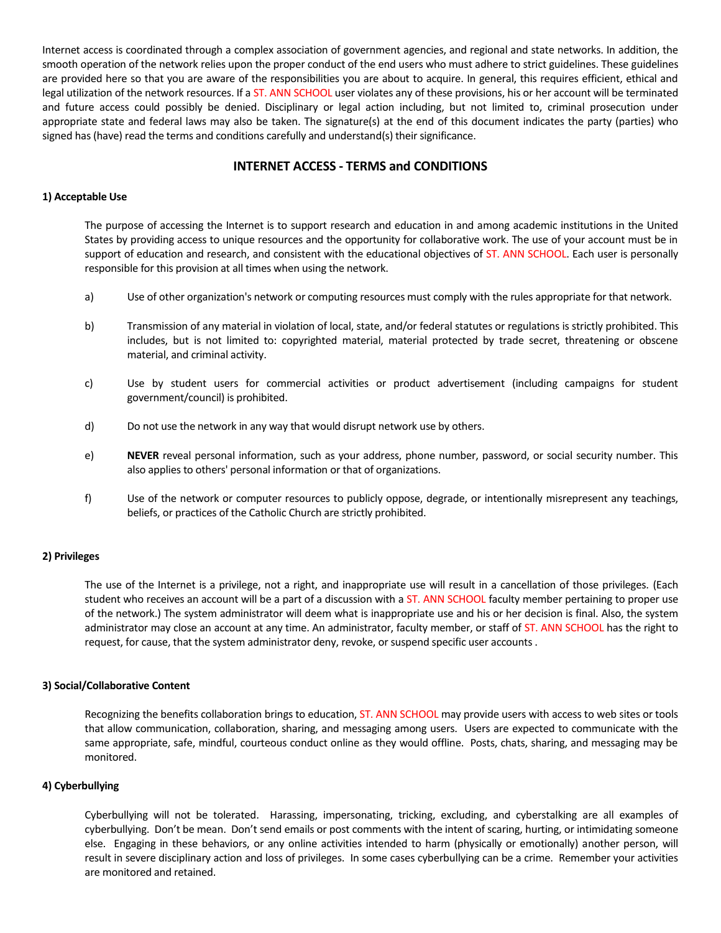Internet access is coordinated through a complex association of government agencies, and regional and state networks. In addition, the smooth operation of the network relies upon the proper conduct of the end users who must adhere to strict guidelines. These guidelines are provided here so that you are aware of the responsibilities you are about to acquire. In general, this requires efficient, ethical and legal utilization of the network resources. If a ST. ANN SCHOOL user violates any of these provisions, his or her account will be terminated and future access could possibly be denied. Disciplinary or legal action including, but not limited to, criminal prosecution under appropriate state and federal laws may also be taken. The signature(s) at the end of this document indicates the party (parties) who signed has (have) read the terms and conditions carefully and understand(s) their significance.

# **INTERNET ACCESS - TERMS and CONDITIONS**

## **1) Acceptable Use**

The purpose of accessing the Internet is to support research and education in and among academic institutions in the United States by providing access to unique resources and the opportunity for collaborative work. The use of your account must be in support of education and research, and consistent with the educational objectives of ST. ANN SCHOOL. Each user is personally responsible for this provision at all times when using the network.

- a) Use of other organization's network or computing resources must comply with the rules appropriate for that network.
- b) Transmission of any material in violation of local, state, and/or federal statutes or regulations is strictly prohibited. This includes, but is not limited to: copyrighted material, material protected by trade secret, threatening or obscene material, and criminal activity.
- c) Use by student users for commercial activities or product advertisement (including campaigns for student government/council) is prohibited.
- d) Do not use the network in any way that would disrupt network use by others.
- e) **NEVER** reveal personal information, such as your address, phone number, password, or social security number. This also applies to others' personal information or that of organizations.
- f) Use of the network or computer resources to publicly oppose, degrade, or intentionally misrepresent any teachings, beliefs, or practices of the Catholic Church are strictly prohibited.

## **2)'Privileges**

The use of the Internet is a privilege, not a right, and inappropriate use will result in a cancellation of those privileges. (Each student who receives an account will be a part of a discussion with a ST. ANN SCHOOL faculty member pertaining to proper use of the network.) The system administrator will deem what is inappropriate use and his or her decision is final. Also, the system administrator may close an account at any time. An administrator, faculty member, or staff of ST. ANN SCHOOL has the right to request, for cause, that the system administrator deny, revoke, or suspend specific user accounts .

## **3) Social/Collaborative Content**

Recognizing the benefits collaboration brings to education, ST. ANN SCHOOL may provide users with access to web sites or tools that allow communication, collaboration, sharing, and messaging among users. Users are expected to communicate with the same appropriate, safe, mindful, courteous conduct online as they would offline. Posts, chats, sharing, and messaging may be monitored.

## **4)'Cyberbullying**

Cyberbullying will not be tolerated. Harassing, impersonating, tricking, excluding, and cyberstalking are all examples of cyberbullying. Don't be mean. Don't send emails or post comments with the intent of scaring, hurting, or intimidating someone else. Engaging in these behaviors, or any online activities intended to harm (physically or emotionally) another person, will result in severe disciplinary action and loss of privileges. In some cases cyberbullying can be a crime. Remember your activities are monitored and retained.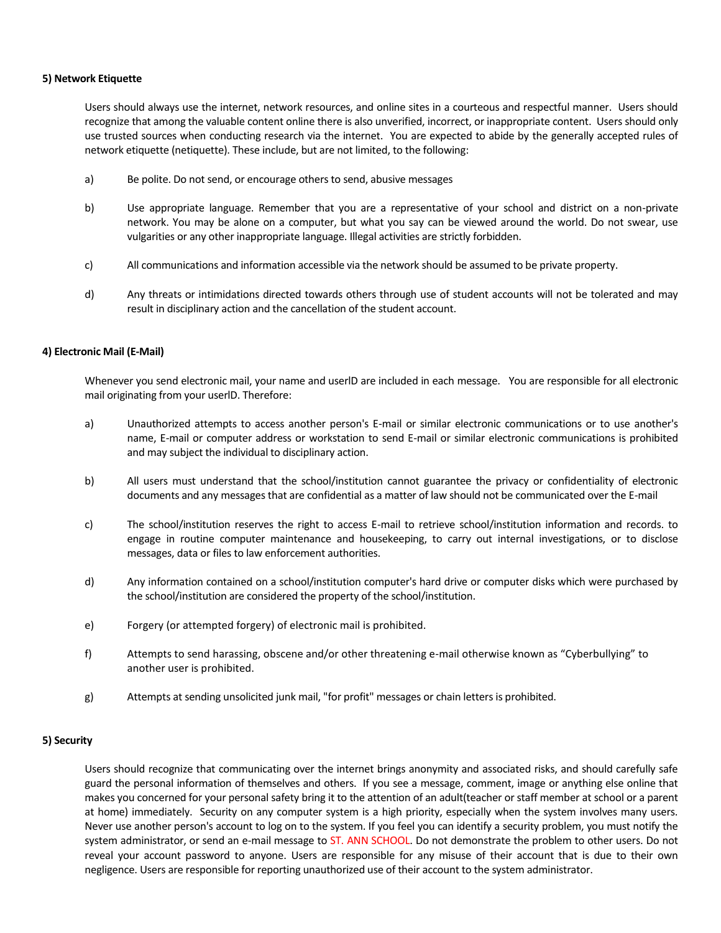## **5) Network Etiquette**

Users should always use the internet, network resources, and online sites in a courteous and respectful manner. Users should recognize that among the valuable content online there is also unverified, incorrect, or inappropriate content. Users should only use trusted sources when conducting research via the internet. You are expected to abide by the generally accepted rules of network etiquette (netiquette). These include, but are not limited, to the following:

- a) Be polite. Do not send, or encourage others to send, abusive messages
- b) Use appropriate language. Remember that you are a representative of your school and district on a non-private network. You may be alone on a computer, but what you say can be viewed around the world. Do not swear, use vulgarities or any other inappropriate language. Illegal activities are strictly forbidden.
- c) All communications and information accessible via the network should be assumed to be private property.
- d) Any threats or intimidations directed towards others through use of student accounts will not be tolerated and may result in disciplinary action and the cancellation of the student account.

## **4) Electronic Mail (E-Mail)**

Whenever you send electronic mail, your name and userlD are included in each message. You are responsible for all electronic mail originating from your userlD. Therefore:

- a) Unauthorized attempts to access another person's E-mail or similar electronic communications or to use another's name, E-mail or computer address or workstation to send E-mail or similar electronic communications is prohibited and may subject the individual to disciplinary action.
- b) All users must understand that the school/institution cannot guarantee the privacy or confidentiality of electronic documents and any messages that are confidential as a matter of law should not be communicated over the E-mail
- c) The school/institution reserves the right to access E-mail to retrieve school/institution information and records. to engage in routine computer maintenance and housekeeping, to carry out internal investigations, or to disclose messages, data or files to law enforcement authorities.
- d) Any information contained on a school/institution computer's hard drive or computer disks which were purchased by the school/institution are considered the property of the school/institution.
- e) Forgery (or attempted forgery) of electronic mail is prohibited.
- f) Attempts to send harassing, obscene and/or other threatening e-mail otherwise known as "Cyberbullying" to another user is prohibited.
- g) httempts at sending unsolicited junk mail, "for profit" messages or chain letters is prohibited.

## **5) Security**

Users should recognize that communicating over the internet brings anonymity and associated risks, and should carefully safe guard the personal information of themselves and others. If you see a message, comment, image or anything else online that makes you concerned for your personal safety bring it to the attention of an adult(teacher or staff member at school or a parent at home) immediately. Security on any computer system is a high priority, especially when the system involves many users. Never use another person's account to log on to the system. If you feel you can identify a security problem, you must notify the system administrator, or send an e-mail message to ST. ANN SCHOOL. Do not demonstrate the problem to other users. Do not reveal your account password to anyone. Users are responsible for any misuse of their account that is due to their own negligence. Users are responsible for reporting unauthorized use of their account to the system administrator.